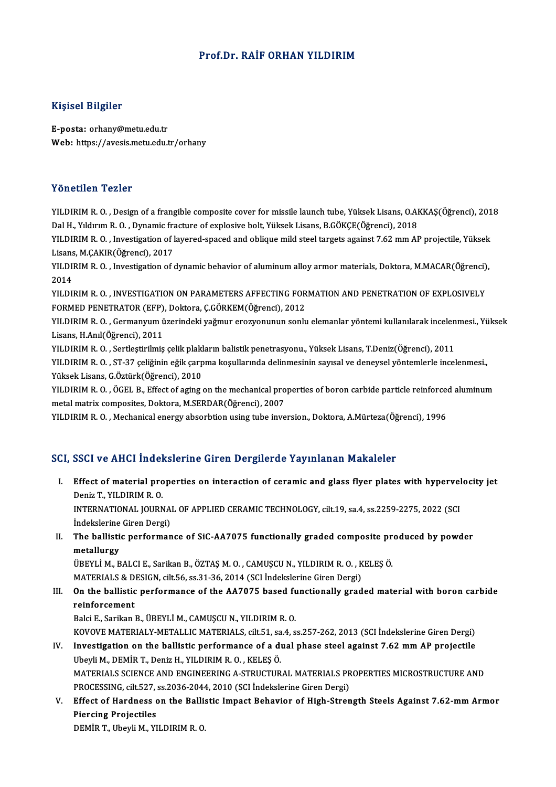#### Prof.Dr. RAİFORHAN YILDIRIM

#### Kişisel Bilgiler

E-posta: orhany@metu.edu.tr Web: https://avesis.metu.edu.tr/orhany

#### Yönetilen Tezler

YILDIRIMR.O. ,Designof a frangible composite cover formissile launch tube,YüksekLisans,O.AKKAŞ(Öğrenci),2018 DalH.,YıldırımR.O. ,Dynamic fracture of explosive bolt,YüksekLisans,B.GÖKÇE(Öğrenci),2018 YILDIRIM R. O. , Design of a frangible composite cover for missile launch tube, Yüksek Lisans, O.AKKAŞ(Öğrenci), 201<br>Dal H., Yıldırım R. O. , Dynamic fracture of explosive bolt, Yüksek Lisans, B.GÖKÇE(Öğrenci), 2018<br>YILDIR

Dal H., Yıldırım R. O. , Dynamic fra<br>YILDIRIM R. O. , Investigation of l<br>Lisans, M.ÇAKIR(Öğrenci), 2017<br>YU DIBIM B. O. , Investigation of a YILDIRIM R. O. , Investigation of layered-spaced and oblique mild steel targets against 7.62 mm AP projectile, Yüksek<br>Lisans, M.ÇAKIR(Öğrenci), 2017<br>YILDIRIM R. O. , Investigation of dynamic behavior of aluminum alloy armo

Lisans, M.ÇAKIR(Öğrenci), 2017<br>YILDIRIM R. O. , Investigation of dynamic behavior of aluminum alloy armor materials, Doktora, M.MACAR(Öğrenci)<br>2014<br>YILDIRIM R. O. . INVESTIGATION ON PARAMETERS AFFECTING FORMATION AND PENET YILDIRIM R. O., Investigation of dynamic behavior of aluminum alloy armor materials, Doktora, M.MACAR(Öğrenci),

FORMED PENETRATOR (EFP), Doktora, Ç.GÖRKEM(Öğrenci), 2012 YILDIRIM R. O. , INVESTIGATION ON PARAMETERS AFFECTING FORMATION AND PENETRATION OF EXPLOSIVELY<br>FORMED PENETRATOR (EFP), Doktora, Ç.GÖRKEM(Öğrenci), 2012<br>YILDIRIM R. O. , Germanyum üzerindeki yağmur erozyonunun sonlu elema

FORMED PENETRATOR (EFP)<br>YILDIRIM R. O. , Germanyum ü<br>Lisans, H.Anıl(Öğrenci), 2011<br>YU DIRIM B. O. , Sertlestirilmiş YILDIRIM R. O. , Germanyum üzerindeki yağmur erozyonunun sonlu elemanlar yöntemi kullanılarak incelen<br>Lisans, H.Anıl(Öğrenci), 2011<br>YILDIRIM R. O. , Sertleştirilmiş çelik plakların balistik penetrasyonu., Yüksek Lisans, T.

Lisans, H.Anıl(Öğrenci), 2011<br>YILDIRIM R. O. , Sertleştirilmiş çelik plakların balistik penetrasyonu., Yüksek Lisans, T.Deniz(Öğrenci), 2011<br>YILDIRIM R. O. , ST-37 çeliğinin eğik çarpma koşullarında delinmesinin sayısal ve

YüksekLisans,G.Öztürk(Öğrenci),2010 YILDIRIM R. O. , ST-37 çeliğinin eğik çarpma koşullarında delinmesinin sayısal ve deneysel yöntemlerle incelenmesi.,<br>Yüksek Lisans, G.Öztürk(Öğrenci), 2010<br>YILDIRIM R. O. , ÖGEL B., Effect of aging on the mechanical proper

Yüksek Lisans, G.Öztürk(Öğrenci), 2010<br>YILDIRIM R. O. , ÖGEL B., Effect of aging on the mechanical pro<br>metal matrix composites, Doktora, M.SERDAR(Öğrenci), 2007<br>YU DIRIM R. O., Mechanical energy absorbtion using tube invo YILDIRIM R. O. , ÖGEL B., Effect of aging on the mechanical properties of boron carbide particle reinforce<br>metal matrix composites, Doktora, M.SERDAR(Öğrenci), 2007<br>YILDIRIM R. O. , Mechanical energy absorbtion using tube

## YILDIRIM R. O. , Mechanical energy absorbtion using tube inversion., Doktora, A.Mürteza(Öğrenci), 1996<br>SCI, SSCI ve AHCI İndekslerine Giren Dergilerde Yayınlanan Makaleler

CI, SSCI ve AHCI İndekslerine Giren Dergilerde Yayınlanan Makaleler<br>I. Effect of material properties on interaction of ceramic and glass flyer plates with hypervelocity jet<br>Denis T, YU DIRIM B, O **Effect of material profile and the Second**<br>Deniz T., YILDIRIM R. O.<br>INTERNATIONAL IOURN Effect of material properties on interaction of ceramic and glass flyer plates with hypervel<br>Deniz T., YILDIRIM R. O.<br>INTERNATIONAL JOURNAL OF APPLIED CERAMIC TECHNOLOGY, cilt.19, sa.4, ss.2259-2275, 2022 (SCI<br>Indekslerine

Deniz T., YILDIRIM R. O.<br>INTERNATIONAL JOURNAL OF APPLIED CERAMIC TECHNOLOGY, cilt.19, sa.4, ss.2259-2275, 2022 (SCI<br>İndekslerine Giren Dergi) INTERNATIONAL JOURNAL OF APPLIED CERAMIC TECHNOLOGY, cilt.19, sa.4, ss.2259-2275, 2022 (SCI<br>Indekslerine Giren Dergi)<br>II. The ballistic performance of SiC-AA7075 functionally graded composite produced by powder<br>matelly gra

metallurgy<br>ÜBEYLİ M., BALCI E., Sarikan B., ÖZTAŞ M. O. , CAMUŞCU N., YILDIRIM R. O. , KELEŞ Ö. The ballistic performance of SiC-AA7075 functionally graded composite pr<br>metallurgy<br>ÜBEYLİ M., BALCI E., Sarikan B., ÖZTAŞ M. O. , CAMUŞCU N., YILDIRIM R. O. , KELEŞ Ö.<br>MATERIALS & DESICN gilt E6. ss 31.36.2014 (SCLİndekal metallurgy<br>ÜBEYLİ M., BALCI E., Sarikan B., ÖZTAŞ M. O. , CAMUŞCU N., YILDIRIM R. O. , K<br>MATERIALS & DESIGN, cilt.56, ss.31-36, 2014 (SCI İndekslerine Giren Dergi)<br>On the ballistis performanes of the AA7075 based functiona

UBEYLI M., BALCI E., Sarikan B., ÖZTAŞ M. O. , CAMUŞCU N., YILDIRIM R. O. , KELEŞ Ö.<br>MATERIALS & DESIGN, cilt.56, ss.31-36, 2014 (SCI İndekslerine Giren Dergi)<br>III. On the ballistic performance of the AA7075 based function MATERIALS & D<br>On the ballistic<br>reinforcement<br>Paki E. Sarikan On the ballistic performance of the AA7075 based fu<br>reinforcement<br>Balci E., Sarikan B., ÜBEYLİ M., CAMUŞCU N., YILDIRIM R. O.<br>KOVOVE MATERIALY METALLIC MATERIALS silt 51 sa.4 s

reinforcement<br>Balci E., Sarikan B., ÜBEYLİ M., CAMUŞCU N., YILDIRIM R. O.<br>KOVOVE MATERIALY-METALLIC MATERIALS, cilt.51, sa.4, ss.257-262, 2013 (SCI İndekslerine Giren Dergi) Balci E., Sarikan B., ÜBEYLİ M., CAMUŞCU N., YILDIRIM R. O.<br>KOVOVE MATERIALY-METALLIC MATERIALS, cilt.51, sa.4, ss.257-262, 2013 (SCI İndekslerine Giren Dergi)<br>IV. Investigation on the ballistic performance of a dual phase

- UbeyliM.,DEMİRT.,DenizH.,YILDIRIMR.O. ,KELEŞÖ. Investigation on the ballistic performance of a dual phase steel against 7.62 mm AP projectile<br>Ubeyli M., DEMİR T., Deniz H., YILDIRIM R. O. , KELEŞ Ö.<br>MATERIALS SCIENCE AND ENGINEERING A-STRUCTURAL MATERIALS PROPERTIES MI MATERIALS SCIENCE AND ENGINEERING A-STRUCTURAL MATERIALS PROPERTIES MICROSTRUCTURE AND<br>PROCESSING, cilt.527, ss.2036-2044, 2010 (SCI İndekslerine Giren Dergi) MATERIALS SCIENCE AND ENGINEERING A-STRUCTURAL MATERIALS PROPERTIES MICROSTRUCTURE AND<br>PROCESSING, cilt.527, ss.2036-2044, 2010 (SCI İndekslerine Giren Dergi)<br>V. Effect of Hardness on the Ballistic Impact Behavior of High-
- PROCESSING, cilt.527, s<br>Effect of Hardness c<br>Piercing Projectiles<br>PEM<sup>ip</sup> T. Ubovli M. YI Piercing Projectiles<br>DEMİR T., Ubeyli M., YILDIRIM R. O.